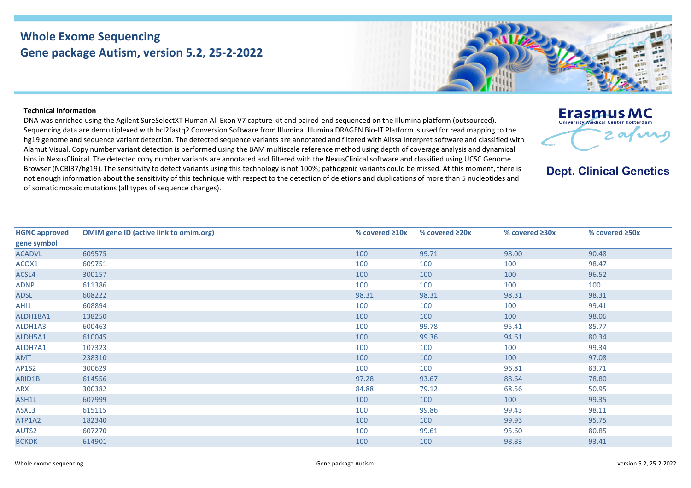## **Whole Exome Sequencing Gene package Autism, version 5.2, 25-2-2022**



DNA was enriched using the Agilent SureSelectXT Human All Exon V7 capture kit and paired-end sequenced on the Illumina platform (outsourced). Sequencing data are demultiplexed with bcl2fastq2 Conversion Software from Illumina. Illumina DRAGEN Bio-IT Platform is used for read mapping to the hg19 genome and sequence variant detection. The detected sequence variants are annotated and filtered with Alissa Interpret software and classified with Alamut Visual. Copy number variant detection is performed using the BAM multiscale reference method using depth of coverage analysis and dynamical bins in NexusClinical. The detected copy number variants are annotated and filtered with the NexusClinical software and classified using UCSC Genome Browser (NCBI37/hg19). The sensitivity to detect variants using this technology is not 100%; pathogenic variants could be missed. At this moment, there is not enough information about the sensitivity of this technique with respect to the detection of deletions and duplications of more than 5 nucleotides and of somatic mosaic mutations (all types of sequence changes).

**HGNC approved gene symbol OMIM gene ID (active link to omim.org) % covered ≥10x % covered ≥20x % covered ≥30x % covered ≥50x** ACADVL [609575](https://omim.org/entry/609575) 100 99.71 98.00 90.48 ACOX1 [609751](https://omim.org/entry/609751) 100 100 100 98.47 ACSL4 [300157](https://omim.org/entry/300157) 100 100 100 96.52 ADNP [611386](https://omim.org/entry/611386) 100 100 100 100 ADSL [608222](https://omim.org/entry/608222) 98.31 98.31 98.31 98.31 AHI1 [608894](https://omim.org/entry/608894) 100 100 100 99.41 ALDH18A1 [138250](https://omim.org/entry/138250) 100 100 100 98.06 ALDH1A3 [600463](https://omim.org/entry/600463) 100 99.78 95.41 85.77 ALDH5A1 [610045](https://omim.org/entry/610045) 100 99.36 94.61 80.34 ALDH7A1 [107323](https://omim.org/entry/107323) 100 100 100 99.34 AMT [238310](https://omim.org/entry/238310) 100 100 100 97.08 AP1S2 [300629](https://omim.org/entry/300629) 100 100 96.81 83.71 ARID1B [614556](https://omim.org/entry/614556) 97.28 93.67 88.64 78.80 ARX [300382](https://omim.org/entry/300382) 84.88 79.12 68.56 50.95 ASH1L [607999](https://omim.org/entry/607999) 100 100 100 99.35 ASXL3 [615115](https://omim.org/entry/615115) 100 99.86 99.43 98.11 ATP1A2 [182340](https://omim.org/entry/182340) 100 100 99.93 95.75 AUTS2 [607270](https://omim.org/entry/607270) 100 99.61 95.60 80.85 BCKDK [614901](https://omim.org/entry/614901) 100 100 98.83 93.41





**Dept. Clinical Genetics**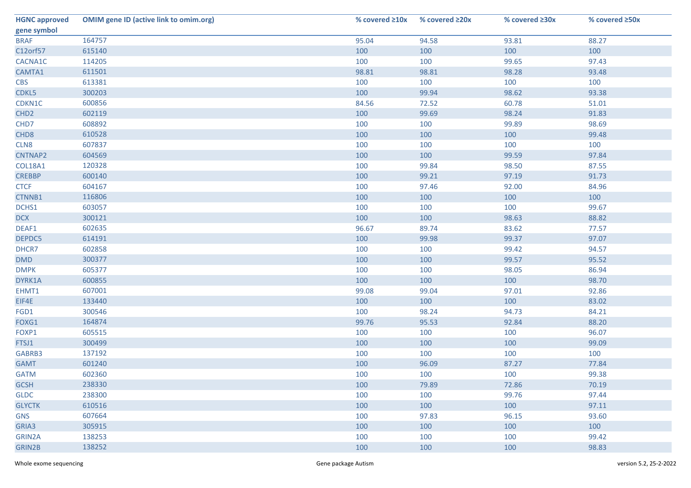| <b>HGNC approved</b> | <b>OMIM gene ID (active link to omim.org)</b> | % covered $\geq 10x$ | % covered $\geq 20x$ | % covered ≥30x | % covered ≥50x |
|----------------------|-----------------------------------------------|----------------------|----------------------|----------------|----------------|
| gene symbol          |                                               |                      |                      |                |                |
| <b>BRAF</b>          | 164757                                        | 95.04                | 94.58                | 93.81          | 88.27          |
| C12orf57             | 615140                                        | 100                  | 100                  | 100            | 100            |
| CACNA1C              | 114205                                        | 100                  | 100                  | 99.65          | 97.43          |
| CAMTA1               | 611501                                        | 98.81                | 98.81                | 98.28          | 93.48          |
| <b>CBS</b>           | 613381                                        | 100                  | 100                  | 100            | 100            |
| CDKL5                | 300203                                        | 100                  | 99.94                | 98.62          | 93.38          |
| CDKN1C               | 600856                                        | 84.56                | 72.52                | 60.78          | 51.01          |
| CHD <sub>2</sub>     | 602119                                        | 100                  | 99.69                | 98.24          | 91.83          |
| CHD7                 | 608892                                        | 100                  | 100                  | 99.89          | 98.69          |
| CHD <sub>8</sub>     | 610528                                        | 100                  | 100                  | 100            | 99.48          |
| CLN8                 | 607837                                        | 100                  | 100                  | 100            | 100            |
| CNTNAP2              | 604569                                        | 100                  | 100                  | 99.59          | 97.84          |
| COL18A1              | 120328                                        | 100                  | 99.84                | 98.50          | 87.55          |
| <b>CREBBP</b>        | 600140                                        | 100                  | 99.21                | 97.19          | 91.73          |
| <b>CTCF</b>          | 604167                                        | 100                  | 97.46                | 92.00          | 84.96          |
| CTNNB1               | 116806                                        | 100                  | 100                  | 100            | 100            |
| DCHS1                | 603057                                        | 100                  | 100                  | 100            | 99.67          |
| <b>DCX</b>           | 300121                                        | 100                  | 100                  | 98.63          | 88.82          |
| DEAF1                | 602635                                        | 96.67                | 89.74                | 83.62          | 77.57          |
| DEPDC5               | 614191                                        | 100                  | 99.98                | 99.37          | 97.07          |
| DHCR7                | 602858                                        | 100                  | 100                  | 99.42          | 94.57          |
| <b>DMD</b>           | 300377                                        | 100                  | 100                  | 99.57          | 95.52          |
| <b>DMPK</b>          | 605377                                        | 100                  | 100                  | 98.05          | 86.94          |
| DYRK1A               | 600855                                        | 100                  | 100                  | 100            | 98.70          |
| EHMT1                | 607001                                        | 99.08                | 99.04                | 97.01          | 92.86          |
| EIF4E                | 133440                                        | 100                  | 100                  | 100            | 83.02          |
| FGD1                 | 300546                                        | 100                  | 98.24                | 94.73          | 84.21          |
| FOXG1                | 164874                                        | 99.76                | 95.53                | 92.84          | 88.20          |
| FOXP1                | 605515                                        | 100                  | 100                  | 100            | 96.07          |
| FTSJ1                | 300499                                        | 100                  | 100                  | 100            | 99.09          |
| GABRB3               | 137192                                        | 100                  | 100                  | 100            | 100            |
| <b>GAMT</b>          | 601240                                        | 100                  | 96.09                | 87.27          | 77.84          |
| <b>GATM</b>          | 602360                                        | 100                  | 100                  | 100            | 99.38          |
| <b>GCSH</b>          | 238330                                        | 100                  | 79.89                | 72.86          | 70.19          |
| <b>GLDC</b>          | 238300                                        | 100                  | 100                  | 99.76          | 97.44          |
| <b>GLYCTK</b>        | 610516                                        | 100                  | 100                  | 100            | 97.11          |
| <b>GNS</b>           | 607664                                        | 100                  | 97.83                | 96.15          | 93.60          |
| GRIA3                | 305915                                        | 100                  | 100                  | 100            | 100            |
| GRIN2A               | 138253                                        | 100                  | 100                  | 100            | 99.42          |
| GRIN2B               | 138252                                        | 100                  | 100                  | 100            | 98.83          |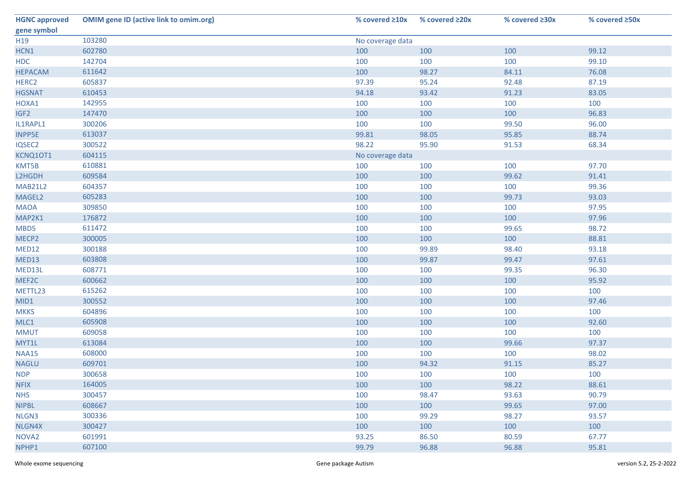| <b>HGNC approved</b> | <b>OMIM gene ID (active link to omim.org)</b> | % covered $\geq 10x$ | % covered $\geq 20x$ | % covered $\geq 30x$ | % covered $\geq$ 50x |  |
|----------------------|-----------------------------------------------|----------------------|----------------------|----------------------|----------------------|--|
| gene symbol          |                                               |                      |                      |                      |                      |  |
| H <sub>19</sub>      | 103280                                        | No coverage data     |                      |                      |                      |  |
| HCN1                 | 602780                                        | 100                  | 100                  | 100                  | 99.12                |  |
| <b>HDC</b>           | 142704                                        | 100                  | 100                  | 100                  | 99.10                |  |
| <b>HEPACAM</b>       | 611642                                        | 100                  | 98.27                | 84.11                | 76.08                |  |
| HERC <sub>2</sub>    | 605837                                        | 97.39                | 95.24                | 92.48                | 87.19                |  |
| <b>HGSNAT</b>        | 610453                                        | 94.18                | 93.42                | 91.23                | 83.05                |  |
| HOXA1                | 142955                                        | 100                  | 100                  | 100                  | 100                  |  |
| IGF <sub>2</sub>     | 147470                                        | 100                  | 100                  | 100                  | 96.83                |  |
| IL1RAPL1             | 300206                                        | 100                  | 100                  | 99.50                | 96.00                |  |
| <b>INPP5E</b>        | 613037                                        | 99.81                | 98.05                | 95.85                | 88.74                |  |
| IQSEC2               | 300522                                        | 98.22                | 95.90                | 91.53                | 68.34                |  |
| KCNQ10T1             | 604115                                        | No coverage data     |                      |                      |                      |  |
| KMT5B                | 610881                                        | 100                  | 100                  | 100                  | 97.70                |  |
| L2HGDH               | 609584                                        | 100                  | 100                  | 99.62                | 91.41                |  |
| <b>MAB21L2</b>       | 604357                                        | 100                  | 100                  | 100                  | 99.36                |  |
| MAGEL2               | 605283                                        | 100                  | 100                  | 99.73                | 93.03                |  |
| <b>MAOA</b>          | 309850                                        | 100                  | 100                  | 100                  | 97.95                |  |
| MAP2K1               | 176872                                        | 100                  | 100                  | 100                  | 97.96                |  |
| MBD5                 | 611472                                        | 100                  | 100                  | 99.65                | 98.72                |  |
| MECP2                | 300005                                        | 100                  | 100                  | 100                  | 88.81                |  |
| MED12                | 300188                                        | 100                  | 99.89                | 98.40                | 93.18                |  |
| MED13                | 603808                                        | 100                  | 99.87                | 99.47                | 97.61                |  |
| MED13L               | 608771                                        | 100                  | 100                  | 99.35                | 96.30                |  |
| MEF2C                | 600662                                        | 100                  | 100                  | 100                  | 95.92                |  |
| METTL23              | 615262                                        | 100                  | 100                  | 100                  | 100                  |  |
| MID1                 | 300552                                        | 100                  | 100                  | 100                  | 97.46                |  |
| <b>MKKS</b>          | 604896                                        | 100                  | 100                  | 100                  | 100                  |  |
| MLC1                 | 605908                                        | 100                  | 100                  | 100                  | 92.60                |  |
| <b>MMUT</b>          | 609058                                        | 100                  | 100                  | 100                  | 100                  |  |
| MYT1L                | 613084                                        | 100                  | 100                  | 99.66                | 97.37                |  |
| <b>NAA15</b>         | 608000                                        | 100                  | 100                  | 100                  | 98.02                |  |
| <b>NAGLU</b>         | 609701                                        | 100                  | 94.32                | 91.15                | 85.27                |  |
| <b>NDP</b>           | 300658                                        | 100                  | 100                  | 100                  | 100                  |  |
| <b>NFIX</b>          | 164005                                        | 100                  | 100                  | 98.22                | 88.61                |  |
| <b>NHS</b>           | 300457                                        | 100                  | 98.47                | 93.63                | 90.79                |  |
| <b>NIPBL</b>         | 608667                                        | 100                  | 100                  | 99.65                | 97.00                |  |
| NLGN3                | 300336                                        | 100                  | 99.29                | 98.27                | 93.57                |  |
| NLGN4X               | 300427                                        | 100                  | 100                  | 100                  | 100                  |  |
| NOVA <sub>2</sub>    | 601991                                        | 93.25                | 86.50                | 80.59                | 67.77                |  |
| NPHP1                | 607100                                        | 99.79                | 96.88                | 96.88                | 95.81                |  |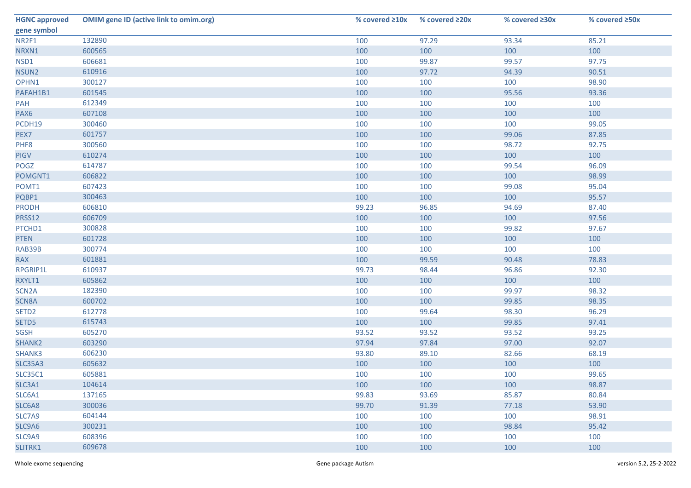| <b>HGNC approved</b> | <b>OMIM gene ID (active link to omim.org)</b> | % covered $\geq 10x$ | % covered $\geq 20x$ | % covered ≥30x | % covered ≥50x |
|----------------------|-----------------------------------------------|----------------------|----------------------|----------------|----------------|
| gene symbol          |                                               |                      |                      |                |                |
| NR2F1                | 132890                                        | 100                  | 97.29                | 93.34          | 85.21          |
| NRXN1                | 600565                                        | 100                  | 100                  | 100            | 100            |
| NSD1                 | 606681                                        | 100                  | 99.87                | 99.57          | 97.75          |
| NSUN2                | 610916                                        | 100                  | 97.72                | 94.39          | 90.51          |
| OPHN1                | 300127                                        | 100                  | 100                  | 100            | 98.90          |
| PAFAH1B1             | 601545                                        | 100                  | 100                  | 95.56          | 93.36          |
| PAH                  | 612349                                        | 100                  | 100                  | 100            | 100            |
| PAX6                 | 607108                                        | 100                  | 100                  | 100            | 100            |
| PCDH19               | 300460                                        | 100                  | 100                  | 100            | 99.05          |
| PEX7                 | 601757                                        | 100                  | 100                  | 99.06          | 87.85          |
| PHF8                 | 300560                                        | 100                  | 100                  | 98.72          | 92.75          |
| <b>PIGV</b>          | 610274                                        | 100                  | 100                  | 100            | 100            |
| POGZ                 | 614787                                        | 100                  | 100                  | 99.54          | 96.09          |
| POMGNT1              | 606822                                        | 100                  | 100                  | 100            | 98.99          |
| POMT1                | 607423                                        | 100                  | 100                  | 99.08          | 95.04          |
| PQBP1                | 300463                                        | 100                  | 100                  | 100            | 95.57          |
| <b>PRODH</b>         | 606810                                        | 99.23                | 96.85                | 94.69          | 87.40          |
| PRSS12               | 606709                                        | 100                  | 100                  | 100            | 97.56          |
| PTCHD1               | 300828                                        | 100                  | 100                  | 99.82          | 97.67          |
| <b>PTEN</b>          | 601728                                        | 100                  | 100                  | 100            | 100            |
| RAB39B               | 300774                                        | 100                  | 100                  | 100            | 100            |
| <b>RAX</b>           | 601881                                        | 100                  | 99.59                | 90.48          | 78.83          |
| RPGRIP1L             | 610937                                        | 99.73                | 98.44                | 96.86          | 92.30          |
| RXYLT1               | 605862                                        | 100                  | 100                  | 100            | 100            |
| SCN <sub>2</sub> A   | 182390                                        | 100                  | 100                  | 99.97          | 98.32          |
| SCN8A                | 600702                                        | 100                  | 100                  | 99.85          | 98.35          |
| SETD <sub>2</sub>    | 612778                                        | 100                  | 99.64                | 98.30          | 96.29          |
| SETD5                | 615743                                        | 100                  | 100                  | 99.85          | 97.41          |
| <b>SGSH</b>          | 605270                                        | 93.52                | 93.52                | 93.52          | 93.25          |
| SHANK2               | 603290                                        | 97.94                | 97.84                | 97.00          | 92.07          |
| SHANK3               | 606230                                        | 93.80                | 89.10                | 82.66          | 68.19          |
| <b>SLC35A3</b>       | 605632                                        | 100                  | 100                  | 100            | 100            |
| <b>SLC35C1</b>       | 605881                                        | 100                  | 100                  | 100            | 99.65          |
| SLC3A1               | 104614                                        | 100                  | 100                  | 100            | 98.87          |
| SLC6A1               | 137165                                        | 99.83                | 93.69                | 85.87          | 80.84          |
| SLC6A8               | 300036                                        | 99.70                | 91.39                | 77.18          | 53.90          |
| SLC7A9               | 604144                                        | 100                  | 100                  | 100            | 98.91          |
| SLC9A6               | 300231                                        | 100                  | 100                  | 98.84          | 95.42          |
| SLC9A9               | 608396                                        | 100                  | 100                  | 100            | 100            |
| SLITRK1              | 609678                                        | 100                  | 100                  | 100            | 100            |